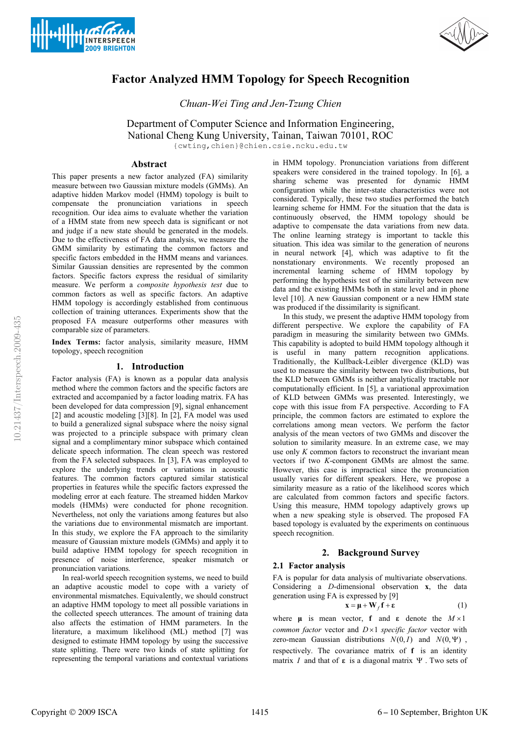



# **Factor Analyzed HMM Topology for Speech Recognition**

*Chuan-Wei Ting and Jen-Tzung Chien* 

Department of Computer Science and Information Engineering,

National Cheng Kung University, Tainan, Taiwan 70101, ROC

{cwting,chien}@chien.csie.ncku.edu.tw

## **Abstract**

This paper presents a new factor analyzed (FA) similarity measure between two Gaussian mixture models (GMMs). An adaptive hidden Markov model (HMM) topology is built to compensate the pronunciation variations in speech recognition. Our idea aims to evaluate whether the variation of a HMM state from new speech data is significant or not and judge if a new state should be generated in the models. Due to the effectiveness of FA data analysis, we measure the GMM similarity by estimating the common factors and specific factors embedded in the HMM means and variances. Similar Gaussian densities are represented by the common factors. Specific factors express the residual of similarity measure. We perform a *composite hypothesis test* due to common factors as well as specific factors. An adaptive HMM topology is accordingly established from continuous collection of training utterances. Experiments show that the proposed FA measure outperforms other measures with comparable size of parameters.

**Index Terms:** factor analysis, similarity measure, HMM topology, speech recognition

## **1. Introduction**

Factor analysis (FA) is known as a popular data analysis method where the common factors and the specific factors are extracted and accompanied by a factor loading matrix. FA has been developed for data compression [9], signal enhancement [2] and acoustic modeling [3][8]. In [2], FA model was used to build a generalized signal subspace where the noisy signal was projected to a principle subspace with primary clean signal and a complimentary minor subspace which contained delicate speech information. The clean speech was restored from the FA selected subspaces. In [3], FA was employed to explore the underlying trends or variations in acoustic features. The common factors captured similar statistical properties in features while the specific factors expressed the modeling error at each feature. The streamed hidden Markov models (HMMs) were conducted for phone recognition. Nevertheless, not only the variations among features but also the variations due to environmental mismatch are important. In this study, we explore the FA approach to the similarity measure of Gaussian mixture models (GMMs) and apply it to build adaptive HMM topology for speech recognition in presence of noise interference, speaker mismatch or pronunciation variations.

In real-world speech recognition systems, we need to build an adaptive acoustic model to cope with a variety of environmental mismatches. Equivalently, we should construct an adaptive HMM topology to meet all possible variations in the collected speech utterances. The amount of training data also affects the estimation of HMM parameters. In the literature, a maximum likelihood (ML) method [7] was designed to estimate HMM topology by using the successive state splitting. There were two kinds of state splitting for representing the temporal variations and contextual variations

in HMM topology. Pronunciation variations from different speakers were considered in the trained topology. In [6], a sharing scheme was presented for dynamic HMM configuration while the inter-state characteristics were not considered. Typically, these two studies performed the batch learning scheme for HMM. For the situation that the data is continuously observed, the HMM topology should be adaptive to compensate the data variations from new data. The online learning strategy is important to tackle this situation. This idea was similar to the generation of neurons in neural network [4], which was adaptive to fit the nonstationary environments. We recently proposed an incremental learning scheme of HMM topology by performing the hypothesis test of the similarity between new data and the existing HMMs both in state level and in phone level [10]. A new Gaussian component or a new HMM state was produced if the dissimilarity is significant.

In this study, we present the adaptive HMM topology from different perspective. We explore the capability of FA paradigm in measuring the similarity between two GMMs. This capability is adopted to build HMM topology although it is useful in many pattern recognition applications. Traditionally, the Kullback-Leibler divergence (KLD) was used to measure the similarity between two distributions, but the KLD between GMMs is neither analytically tractable nor computationally efficient. In [5], a variational approximation of KLD between GMMs was presented. Interestingly, we cope with this issue from FA perspective. According to FA principle, the common factors are estimated to explore the correlations among mean vectors. We perform the factor analysis of the mean vectors of two GMMs and discover the solution to similarity measure. In an extreme case, we may use only *K* common factors to reconstruct the invariant mean vectors if two *K*-component GMMs are almost the same. However, this case is impractical since the pronunciation usually varies for different speakers. Here, we propose a similarity measure as a ratio of the likelihood scores which are calculated from common factors and specific factors. Using this measure, HMM topology adaptively grows up when a new speaking style is observed. The proposed FA based topology is evaluated by the experiments on continuous speech recognition.

## **2. Background Survey**

## **2.1 Factor analysis**

FA is popular for data analysis of multivariate observations. Considering a *D*-dimensional observation **x**, the data generation using FA is expressed by [9]

$$
\mathbf{x} = \mathbf{\mu} + \mathbf{W}_f \mathbf{f} + \mathbf{\varepsilon}
$$
 (1)

where  $\mu$  is mean vector, **f** and  $\epsilon$  denote the  $M \times 1$ *common factor* vector and  $D \times 1$  *specific factor* vector with zero-mean Gaussian distributions  $N(0, I)$  and  $N(0, \Psi)$ , respectively. The covariance matrix of **f** is an identity matrix  $I$  and that of  $\varepsilon$  is a diagonal matrix  $\Psi$ . Two sets of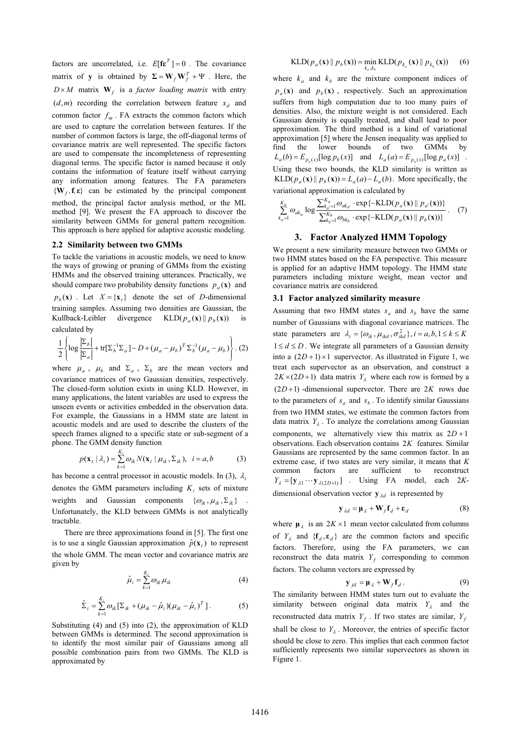factors are uncorrelated, i.e.  $E[\mathbf{f} \mathbf{\varepsilon}^T] = 0$ . The covariance matrix of **y** is obtained by  $\Sigma = W_f W_f^T + \Psi$ . Here, the  $D \times M$  matrix  $\mathbf{W}_f$  is a *factor loading matrix* with entry  $(d,m)$  recording the correlation between feature  $x_d$  and common factor  $f_m$ . FA extracts the common factors which are used to capture the correlation between features. If the number of common factors is large, the off-diagonal terms of covariance matrix are well represented. The specific factors are used to compensate the incompleteness of representing diagonal terms. The specific factor is named because it only contains the information of feature itself without carrying any information among features. The FA parameters  ${\bf{W}}_f, {\bf{f}}, {\bf{\varepsilon}}\}$  can be estimated by the principal component method, the principal factor analysis method, or the ML method [9]. We present the FA approach to discover the similarity between GMMs for general pattern recognition. This approach is here applied for adaptive acoustic modeling.

#### **2.2 Similarity between two GMMs**

To tackle the variations in acoustic models, we need to know the ways of growing or pruning of GMMs from the existing HMMs and the observed training utterances. Practically, we should compare two probability density functions  $p_a(\mathbf{x})$  and

 $p_b(\mathbf{x})$ . Let  $X = \{\mathbf{x}_t\}$  denote the set of *D*-dimensional training samples. Assuming two densities are Gaussian, the Kullback-Leibler divergence  $KLD(p_a(\mathbf{x}) || p_b(\mathbf{x}))$  is calculated by

$$
\frac{1}{2}\left\{\log\frac{\left|\Sigma_b\right|}{\left|\Sigma_a\right|} + \text{tr}[\Sigma_b^{-1}\Sigma_a] - D + \left(\mu_a - \mu_b\right)^T \Sigma_b^{-1} \left(\mu_a - \mu_b\right)\right\}.\ (2)
$$

where  $\mu_a$ ,  $\mu_b$  and  $\Sigma_a$ ,  $\Sigma_b$  are the mean vectors and covariance matrices of two Gaussian densities, respectively. The closed-form solution exists in using KLD. However, in many applications, the latent variables are used to express the unseen events or activities embedded in the observation data. For example, the Gaussians in a HMM state are latent in acoustic models and are used to describe the clusters of the speech frames aligned to a specific state or sub-segment of a phone. The GMM density function

$$
p(\mathbf{x}_t | \lambda_i) = \sum_{k=1}^{K_i} \omega_{ik} N(\mathbf{x}_t | \mu_{ik}, \Sigma_{ik}), \quad i = a, b \tag{3}
$$

has become a central processor in acoustic models. In (3),  $\lambda_i$ denotes the GMM parameters including  $K_i$  sets of mixture weights and Gaussian components  $\{\omega_{ik}, \mu_{ik}, \Sigma_{ik}\}\$ Unfortunately, the KLD between GMMs is not analytically tractable.

There are three approximations found in [5]. The first one is to use a single Gaussian approximation  $\hat{p}(\mathbf{x}_t)$  to represent the whole GMM. The mean vector and covariance matrix are given by

$$
\hat{\mu}_i = \sum_{k=1}^{K_i} \omega_{ik} \mu_{ik} \tag{4}
$$

$$
\hat{\Sigma}_i = \sum_{k=1}^{K_i} \omega_{ik} [\Sigma_{ik} + (\mu_{ik} - \hat{\mu}_i)(\mu_{ik} - \hat{\mu}_i)^T].
$$
 (5)

Substituting (4) and (5) into (2), the approximation of KLD between GMMs is determined. The second approximation is to identify the most similar pair of Gaussians among all possible combination pairs from two GMMs. The KLD is approximated by

$$
\text{KLD}(p_a(\mathbf{x}) \| p_b(\mathbf{x})) = \min_{k_a, k_b} \text{KLD}(p_{k_a}(\mathbf{x}) \| p_{k_b}(\mathbf{x})) \qquad (6)
$$

where  $k_a$  and  $k_b$  are the mixture component indices of  $p_a(\mathbf{x})$  and  $p_b(\mathbf{x})$ , respectively. Such an approximation suffers from high computation due to too many pairs of densities. Also, the mixture weight is not considered. Each Gaussian density is equally treated, and shall lead to poor approximation. The third method is a kind of variational approximation [5] where the Jensen inequality was applied to find the lower bounds of two GMMs by  $L_a(b) = E_{p_a(x)}[\log p_b(x)]$  and  $L_a(a) = E_{p_a(x)}[\log p_a(x)]$ . Using these two bounds, the KLD similarity is written as KLD( $p_a$ (**x**)  $\parallel$  $p_b$ (**x**)) =  $L_a$ (*a*) –  $L_a$ (*b*). More specifically, the variational approximation is calculated by

$$
\sum_{k_a=1}^{K_a} \omega_{ak_a} \log \frac{\sum_{k_a=1}^{K_a} \omega_{ak_a} \cdot \exp \{-\text{KLD}(p_a(\mathbf{x}) \mid p_{a'}(\mathbf{x}))\}}{\sum_{k_b=1}^{K_b} \omega_{bk_b} \cdot \exp \{-\text{KLD}(p_a(\mathbf{x}) \mid p_b(\mathbf{x}))\}}.
$$
 (7)

## **3. Factor Analyzed HMM Topology**

We present a new similarity measure between two GMMs or two HMM states based on the FA perspective. This measure is applied for an adaptive HMM topology. The HMM state parameters including mixture weight, mean vector and covariance matrix are considered.

#### **3.1 Factor analyzed similarity measure**

Assuming that two HMM states  $s_a$  and  $s_b$  have the same number of Gaussians with diagonal covariance matrices. The state parameters are  $\lambda_i = {\omega_{ik}, \mu_{ikd}, \sigma_{ikd}^2}, i = a, b, 1 \le k \le K$  $1 \leq d \leq D$ . We integrate all parameters of a Gaussian density into a  $(2D+1) \times 1$  supervector. As illustrated in Figure 1, we treat each supervector as an observation, and construct a  $2K \times (2D+1)$  data matrix  $Y_{\lambda}$  where each row is formed by a  $(2D+1)$ -dimensional supervector. There are 2K rows due to the parameters of  $s_a$  and  $s_b$ . To identify similar Gaussians from two HMM states, we estimate the common factors from data matrix  $Y_1$ . To analyze the correlations among Gaussian components, we alternatively view this matrix as  $2D + 1$ observations. Each observation contains 2*K* features. Similar Gaussians are represented by the same common factor. In an extreme case, if two states are very similar, it means that *K* common factors are sufficient to reconstruct  $Y_{\lambda} = [\mathbf{y}_{\lambda 1} \cdots \mathbf{y}_{\lambda (2D+1)}]$  . Using FA model, each 2*K*dimensional observation vector  $y_{\lambda d}$  is represented by

$$
\mathbf{y}_{\lambda d} = \mathbf{\mu}_{\lambda} + \mathbf{W}_f \mathbf{f}_d + \mathbf{\varepsilon}_d \tag{8}
$$

where  $\mu_{\lambda}$  is an  $2K \times 1$  mean vector calculated from columns of  $Y_{\lambda}$  and  $\{f_{d}, \varepsilon_{d}\}\)$  are the common factors and specific factors. Therefore, using the FA parameters, we can reconstruct the data matrix  $Y_f$  corresponding to common factors. The column vectors are expressed by

$$
\mathbf{y}_{fd} = \mathbf{\mu}_{\lambda} + \mathbf{W}_f \mathbf{f}_d.
$$
 (9)

The similarity between HMM states turn out to evaluate the similarity between original data matrix  $Y_{\lambda}$  and the reconstructed data matrix  $Y_f$ . If two states are similar,  $Y_f$ shall be close to  $Y_{\lambda}$ . Moreover, the entries of specific factor should be close to zero. This implies that each common factor sufficiently represents two similar supervectors as shown in Figure 1.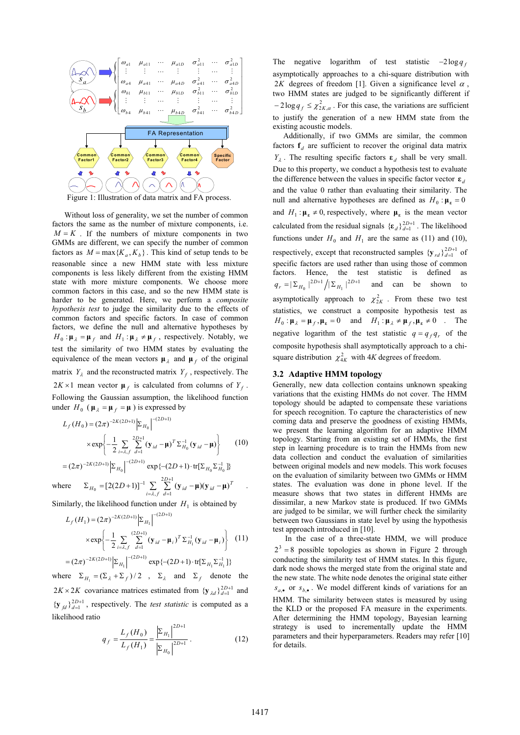

Without loss of generality, we set the number of common factors the same as the number of mixture components, i.e.  $M = K$ . If the numbers of mixture components in two GMMs are different, we can specify the number of common factors as  $M = \max\{K_a, K_b\}$ . This kind of setup tends to be reasonable since a new HMM state with less mixture components is less likely different from the existing HMM state with more mixture components. We choose more common factors in this case, and so the new HMM state is harder to be generated. Here, we perform a *composite hypothesis test* to judge the similarity due to the effects of common factors and specific factors. In case of common factors, we define the null and alternative hypotheses by  $H_0: \mu_{\lambda} = \mu_f$  and  $H_1: \mu_{\lambda} \neq \mu_f$ , respectively. Notably, we test the similarity of two HMM states by evaluating the equivalence of the mean vectors  $\mu_{\lambda}$  and  $\mu_{f}$  of the original matrix  $Y_{\lambda}$  and the reconstructed matrix  $Y_f$ , respectively. The  $2K \times 1$  mean vector  $\mu_f$  is calculated from columns of  $Y_f$ . Following the Gaussian assumption, the likelihood function under  $H_0$  ( $\mu_{\lambda} = \mu_f = \mu$ ) is expressed by

$$
L_f(H_0) = (2\pi)^{-2K(2D+1)} \Big| \Sigma_{H_0} \Big|^{-(2D+1)}
$$
  
 
$$
\times \exp \Biggl\{ -\frac{1}{2} \sum_{i=\lambda, f} \sum_{d=1}^{2D+1} (\mathbf{y}_{id} - \mathbf{\mu})^T \Sigma_{H_0}^{-1} (\mathbf{y}_{id} - \mathbf{\mu}) \Biggr\} \qquad (10)
$$

 $(2\pi)^{-2K(2D+1)} \Big| \Sigma_{H_0} \Big|^{-(2D+1)} \exp \{-(2D+1) \cdot \text{tr}[ \Sigma_{H_0} \Sigma_{H_0}^{-1} ] \}$  $= (2\pi)^{-2K(2D+1)} \Big| \Sigma_{H_0} \Big|^{-(2D+1)} \exp \{-(2D+1) \cdot tr[\Sigma_{H_0} \Sigma_{H_0}^{-}]$ *D*  $(\pi)^{-2K(2D+1)}\left|\sum_{H_0}\right|^{-(2D+1)}$  exp $\{-2D\}$ - *D*  $2D+1$ 

where  $\Sigma_{H_0} = [2(2D+1)]^{-1} \sum_{i=\lambda,f} \sum_{d=1}^{2D+1}$ Ę  $\Sigma_{U} = [2(2D+1)]^{-1} \sum_{i=1}^{2D+1} (\mathbf{v}_{i,j} - \mathbf{u})(\mathbf{v}_{i,j}$  $i = \lambda, j$ *d*  $H_0 = [2(2D+1)]^{-1} \sum_{i=\lambda,f} \sum_{d=1}^{2D-1} (\mathbf{y}_{id} - \mathbf{\mu})(\mathbf{y}_{id} - \mathbf{\mu})^T$  $\sum_{i=1}^{N} (y_{id} - \mu)(y_{id} - \mu)^{T}$ 

Similarly, the likelihood function under  $H_1$  is obtained by

$$
L_f(H_1) = (2\pi)^{-2K(2D+1)} \Big| \Sigma_{H_1} \Big|^{-(2D+1)}
$$
  
 
$$
\times \exp \Biggl\{ -\frac{1}{2} \sum_{i=\lambda,f} \sum_{d=1}^{(2D+1)} (\mathbf{y}_{id} - \mathbf{\mu}_i)^T \Sigma_{H_1}^{-1} (\mathbf{y}_{id} - \mathbf{\mu}_i) \Biggr\} \quad (11)
$$
  

$$
= (2\pi)^{-2K(2D+1)} \Big| \Sigma_{H_1} \Big|^{-(2D+1)} \exp \{-(2D+1) \cdot \text{tr}[\Sigma_{H_1} \Sigma_{H_1}^{-1}] \}
$$

where  $\Sigma_{H_1} = (\Sigma_{\lambda} + \Sigma_f)/2$ ,  $\Sigma_{\lambda}$  and  $\Sigma_f$  denote the  $2K \times 2K$  covariance matrices estimated from  $\{y_{\lambda d}\}_{d=1}^{2D+1}$  and  $\{y_{fd}\}_{d=1}^{2D+1}$ , respectively. The *test statistic* is computed as a likelihood ratio

$$
q_f = \frac{L_f(H_0)}{L_f(H_1)} = \frac{\left|\sum_{H_1}\right|^{2D+1}}{\left|\sum_{H_0}\right|^{2D+1}}.
$$
 (12)

The negative logarithm of test statistic  $-2\log q_f$ asymptotically approaches to a chi-square distribution with 2*K* degrees of freedom [1]. Given a significance level  $\alpha$ , two HMM states are judged to be significantly different if  $-2\log q_f \leq \chi^2_{2K,\alpha}$ . For this case, the variations are sufficient to justify the generation of a new HMM state from the existing acoustic models.

Additionally, if two GMMs are similar, the common factors  $f_d$  are sufficient to recover the original data matrix  $Y_{\lambda}$ . The resulting specific factors  $\varepsilon_d$  shall be very small. Due to this property, we conduct a hypothesis test to evaluate the difference between the values in specific factor vector  $\epsilon_a$ and the value 0 rather than evaluating their similarity. The null and alternative hypotheses are defined as  $H_0: \mu_{\varepsilon} = 0$ and  $H_1: \mu_{\varepsilon} \neq 0$ , respectively, where  $\mu_{\varepsilon}$  is the mean vector calculated from the residual signals  ${\{\epsilon_d\}}_{d=1}^{2D+1}$ . The likelihood functions under  $H_0$  and  $H_1$  are the same as (11) and (10), respectively, except that reconstructed samples  $\{y_{rd}\}_{d=1}^{2D+1}$  of specific factors are used rather than using those of common factors. Hence, the test statistic is defined as  $q_r = \left| \sum_{H_0} \right|^{2D+1} / \left| \sum_{H_1} \right|^{2D+1}$  and can be shown to asymptotically approach to  $\chi^2_{2K}$ . From these two test statistics, we construct a composite hypothesis test as  $H_0: \mu_{\lambda} = \mu_f, \mu_{\epsilon} = 0$  and  $H_1: \mu_{\lambda} \neq \mu_f, \mu_{\epsilon} \neq 0$  . The negative logarithm of the test statistic  $q = q_f q_r$  of the composite hypothesis shall asymptotically approach to a chisquare distribution  $\chi^2_{4K}$  with 4*K* degrees of freedom.

## **3.2 Adaptive HMM topology**

Generally, new data collection contains unknown speaking variations that the existing HMMs do not cover. The HMM topology should be adapted to compensate these variations for speech recognition. To capture the characteristics of new coming data and preserve the goodness of existing HMMs, we present the learning algorithm for an adaptive HMM topology. Starting from an existing set of HMMs, the first step in learning procedure is to train the HMMs from new data collection and conduct the evaluation of similarities between original models and new models. This work focuses on the evaluation of similarity between two GMMs or HMM states. The evaluation was done in phone level. If the measure shows that two states in different HMMs are dissimilar, a new Markov state is produced. If two GMMs are judged to be similar, we will further check the similarity between two Gaussians in state level by using the hypothesis test approach introduced in [10].

In the case of a three-state HMM, we will produce  $2^3 = 8$  possible topologies as shown in Figure 2 through conducting the similarity test of HMM states. In this figure, dark node shows the merged state from the original state and the new state. The white node denotes the original state either  $s_{a,\bullet}$  or  $s_{b,\bullet}$ . We model different kinds of variations for an HMM. The similarity between states is measured by using the KLD or the proposed FA measure in the experiments. After determining the HMM topology, Bayesian learning strategy is used to incrementally update the HMM parameters and their hyperparameters. Readers may refer [10] for details.